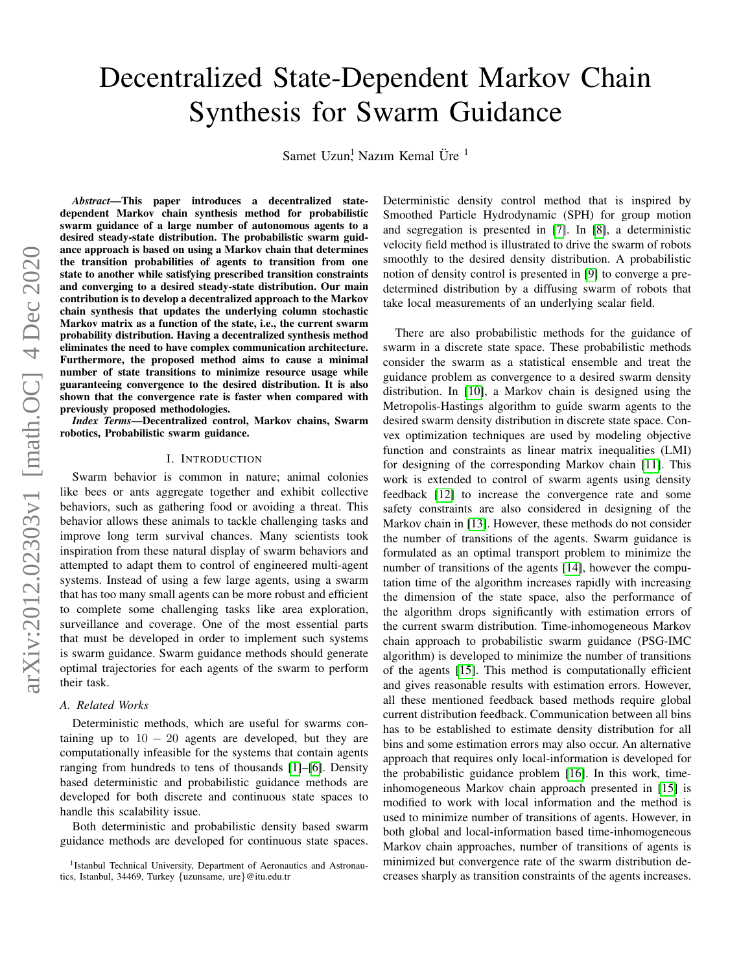# Decentralized State-Dependent Markov Chain Synthesis for Swarm Guidance

Samet Uzun<sup>!</sup> Nazım Kemal Üre<sup>1</sup>

*Abstract*—This paper introduces a decentralized statedependent Markov chain synthesis method for probabilistic swarm guidance of a large number of autonomous agents to a desired steady-state distribution. The probabilistic swarm guidance approach is based on using a Markov chain that determines the transition probabilities of agents to transition from one state to another while satisfying prescribed transition constraints and converging to a desired steady-state distribution. Our main contribution is to develop a decentralized approach to the Markov chain synthesis that updates the underlying column stochastic Markov matrix as a function of the state, i.e., the current swarm probability distribution. Having a decentralized synthesis method eliminates the need to have complex communication architecture. Furthermore, the proposed method aims to cause a minimal number of state transitions to minimize resource usage while guaranteeing convergence to the desired distribution. It is also shown that the convergence rate is faster when compared with previously proposed methodologies.

*Index Terms*—Decentralized control, Markov chains, Swarm robotics, Probabilistic swarm guidance.

# I. INTRODUCTION

Swarm behavior is common in nature; animal colonies like bees or ants aggregate together and exhibit collective behaviors, such as gathering food or avoiding a threat. This behavior allows these animals to tackle challenging tasks and improve long term survival chances. Many scientists took inspiration from these natural display of swarm behaviors and attempted to adapt them to control of engineered multi-agent systems. Instead of using a few large agents, using a swarm that has too many small agents can be more robust and efficient to complete some challenging tasks like area exploration, surveillance and coverage. One of the most essential parts that must be developed in order to implement such systems is swarm guidance. Swarm guidance methods should generate optimal trajectories for each agents of the swarm to perform their task.

## <span id="page-0-0"></span>*A. Related Works*

Deterministic methods, which are useful for swarms containing up to  $10 - 20$  agents are developed, but they are computationally infeasible for the systems that contain agents ranging from hundreds to tens of thousands [\[1\]](#page-7-0)–[\[6\]](#page-7-1). Density based deterministic and probabilistic guidance methods are developed for both discrete and continuous state spaces to handle this scalability issue.

Both deterministic and probabilistic density based swarm guidance methods are developed for continuous state spaces. Deterministic density control method that is inspired by Smoothed Particle Hydrodynamic (SPH) for group motion and segregation is presented in [\[7\]](#page-7-2). In [\[8\]](#page-7-3), a deterministic velocity field method is illustrated to drive the swarm of robots smoothly to the desired density distribution. A probabilistic notion of density control is presented in [\[9\]](#page-7-4) to converge a predetermined distribution by a diffusing swarm of robots that take local measurements of an underlying scalar field.

There are also probabilistic methods for the guidance of swarm in a discrete state space. These probabilistic methods consider the swarm as a statistical ensemble and treat the guidance problem as convergence to a desired swarm density distribution. In [\[10\]](#page-8-0), a Markov chain is designed using the Metropolis-Hastings algorithm to guide swarm agents to the desired swarm density distribution in discrete state space. Convex optimization techniques are used by modeling objective function and constraints as linear matrix inequalities (LMI) for designing of the corresponding Markov chain [\[11\]](#page-8-1). This work is extended to control of swarm agents using density feedback [\[12\]](#page-8-2) to increase the convergence rate and some safety constraints are also considered in designing of the Markov chain in [\[13\]](#page-8-3). However, these methods do not consider the number of transitions of the agents. Swarm guidance is formulated as an optimal transport problem to minimize the number of transitions of the agents [\[14\]](#page-8-4), however the computation time of the algorithm increases rapidly with increasing the dimension of the state space, also the performance of the algorithm drops significantly with estimation errors of the current swarm distribution. Time-inhomogeneous Markov chain approach to probabilistic swarm guidance (PSG-IMC algorithm) is developed to minimize the number of transitions of the agents [\[15\]](#page-8-5). This method is computationally efficient and gives reasonable results with estimation errors. However, all these mentioned feedback based methods require global current distribution feedback. Communication between all bins has to be established to estimate density distribution for all bins and some estimation errors may also occur. An alternative approach that requires only local-information is developed for the probabilistic guidance problem [\[16\]](#page-8-6). In this work, timeinhomogeneous Markov chain approach presented in [\[15\]](#page-8-5) is modified to work with local information and the method is used to minimize number of transitions of agents. However, in both global and local-information based time-inhomogeneous Markov chain approaches, number of transitions of agents is minimized but convergence rate of the swarm distribution decreases sharply as transition constraints of the agents increases.

<sup>&</sup>lt;sup>1</sup> Istanbul Technical University, Department of Aeronautics and Astronautics, Istanbul, 34469, Turkey {uzunsame, ure}@itu.edu.tr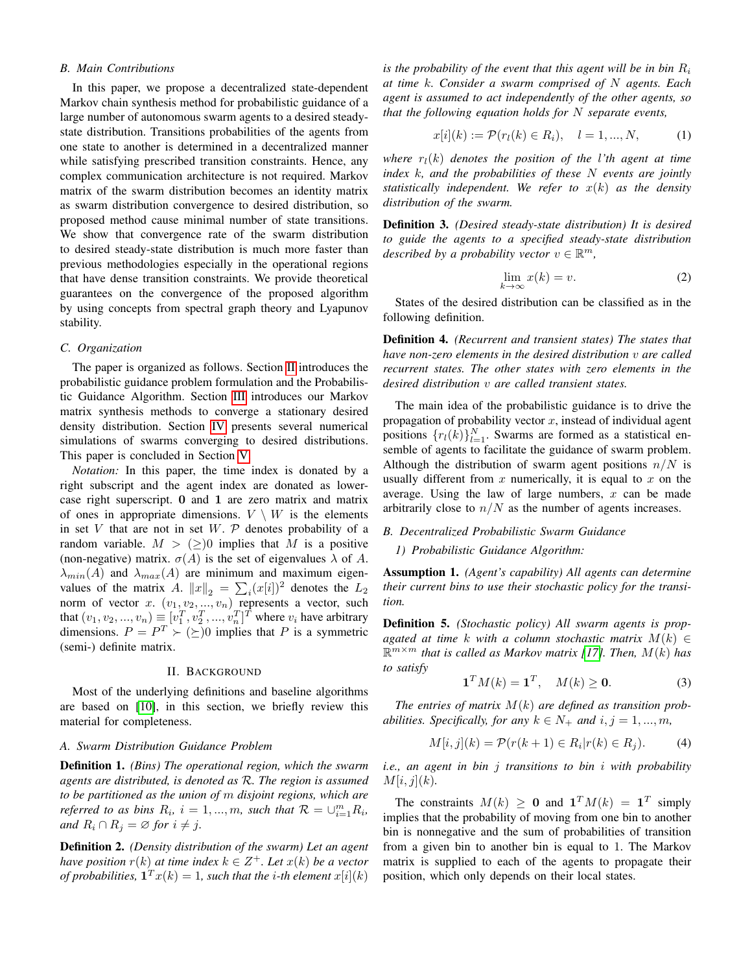# *B. Main Contributions*

In this paper, we propose a decentralized state-dependent Markov chain synthesis method for probabilistic guidance of a large number of autonomous swarm agents to a desired steadystate distribution. Transitions probabilities of the agents from one state to another is determined in a decentralized manner while satisfying prescribed transition constraints. Hence, any complex communication architecture is not required. Markov matrix of the swarm distribution becomes an identity matrix as swarm distribution convergence to desired distribution, so proposed method cause minimal number of state transitions. We show that convergence rate of the swarm distribution to desired steady-state distribution is much more faster than previous methodologies especially in the operational regions that have dense transition constraints. We provide theoretical guarantees on the convergence of the proposed algorithm by using concepts from spectral graph theory and Lyapunov stability.

## *C. Organization*

The paper is organized as follows. Section [II](#page-1-0) introduces the probabilistic guidance problem formulation and the Probabilistic Guidance Algorithm. Section [III](#page-2-0) introduces our Markov matrix synthesis methods to converge a stationary desired density distribution. Section [IV](#page-6-0) presents several numerical simulations of swarms converging to desired distributions. This paper is concluded in Section [V.](#page-6-1)

*Notation:* In this paper, the time index is donated by a right subscript and the agent index are donated as lowercase right superscript. 0 and 1 are zero matrix and matrix of ones in appropriate dimensions.  $V \setminus W$  is the elements in set V that are not in set W.  $P$  denotes probability of a random variable.  $M > (\geq)0$  implies that M is a positive (non-negative) matrix.  $\sigma(A)$  is the set of eigenvalues  $\lambda$  of A.  $\lambda_{min}(A)$  and  $\lambda_{max}(A)$  are minimum and maximum eigenvalues of the matrix A.  $||x||_2 = \sum_i (x[i])^2$  denotes the  $L_2$ values of the matrix  $A$ .  $||x||_2 = \sum_i (x_i | i)$  denotes the  $L_2$ <br>norm of vector x.  $(v_1, v_2, ..., v_n)$  represents a vector, such that  $(v_1, v_2, ..., v_n) \equiv [v_1^T, v_2^T, ..., v_n^T]^T$  where  $v_i$  have arbitrary dimensions.  $P = P^T \succ (\succeq)0$  implies that P is a symmetric (semi-) definite matrix.

## II. BACKGROUND

<span id="page-1-0"></span>Most of the underlying definitions and baseline algorithms are based on [\[10\]](#page-8-0), in this section, we briefly review this material for completeness.

## *A. Swarm Distribution Guidance Problem*

Definition 1. *(Bins) The operational region, which the swarm agents are distributed, is denoted as* R*. The region is assumed to be partitioned as the union of* m *disjoint regions, which are referred to as bins*  $R_i$ ,  $i = 1, ..., m$ , such that  $\mathcal{R} = \bigcup_{i=1}^{m} R_i$ , *and*  $R_i \cap R_j = \emptyset$  *for*  $i \neq j$ *.* 

Definition 2. *(Density distribution of the swarm) Let an agent have position*  $r(k)$  *at time index*  $k \in \mathbb{Z}^+$ *. Let*  $x(k)$  *be a vector of probabilities,*  $\mathbf{1}^T x(k) = 1$ *, such that the i-th element*  $x[i](k)$ 

*is the probability of the event that this agent will be in bin*  $R_i$ *at time* k*. Consider a swarm comprised of* N *agents. Each agent is assumed to act independently of the other agents, so that the following equation holds for* N *separate events,*

$$
x[i](k) := \mathcal{P}(r_l(k) \in R_i), \quad l = 1, ..., N,
$$
 (1)

*where*  $r_l(k)$  *denotes the position of the l'th agent at time index* k*, and the probabilities of these* N *events are jointly statistically independent. We refer to*  $x(k)$  *as the density distribution of the swarm.*

<span id="page-1-1"></span>Definition 3. *(Desired steady-state distribution) It is desired to guide the agents to a specified steady-state distribution described by a probability vector*  $v \in \mathbb{R}^m$ ,

<span id="page-1-2"></span>
$$
\lim_{k \to \infty} x(k) = v.
$$
 (2)

States of the desired distribution can be classified as in the following definition.

Definition 4. *(Recurrent and transient states) The states that have non-zero elements in the desired distribution* v *are called recurrent states. The other states with zero elements in the desired distribution* v *are called transient states.*

The main idea of the probabilistic guidance is to drive the propagation of probability vector  $x$ , instead of individual agent positions  $\{r_l(k)\}_{l=1}^N$ . Swarms are formed as a statistical ensemble of agents to facilitate the guidance of swarm problem. Although the distribution of swarm agent positions  $n/N$  is usually different from  $x$  numerically, it is equal to  $x$  on the average. Using the law of large numbers,  $x$  can be made arbitrarily close to  $n/N$  as the number of agents increases.

#### *B. Decentralized Probabilistic Swarm Guidance*

*1) Probabilistic Guidance Algorithm:*

<span id="page-1-3"></span>Assumption 1. *(Agent's capability) All agents can determine their current bins to use their stochastic policy for the transition.*

Definition 5. *(Stochastic policy) All swarm agents is propagated at time k with a column stochastic matrix*  $M(k) \in$ R <sup>m</sup>×<sup>m</sup> *that is called as Markov matrix [\[17\]](#page-8-7). Then,* M(k) *has to satisfy*

$$
\mathbf{1}^T M(k) = \mathbf{1}^T, \quad M(k) \ge \mathbf{0}.\tag{3}
$$

*The entries of matrix* M(k) *are defined as transition probabilities. Specifically, for any*  $k \in N_+$  *and*  $i, j = 1, ..., m$ ,

$$
M[i,j](k) = \mathcal{P}(r(k+1) \in R_i | r(k) \in R_j). \tag{4}
$$

*i.e., an agent in bin* j *transitions to bin* i *with probability*  $M[i, j](k)$ .

The constraints  $M(k) \ge 0$  and  $\mathbf{1}^T M(k) = \mathbf{1}^T$  simply implies that the probability of moving from one bin to another bin is nonnegative and the sum of probabilities of transition from a given bin to another bin is equal to 1. The Markov matrix is supplied to each of the agents to propagate their position, which only depends on their local states.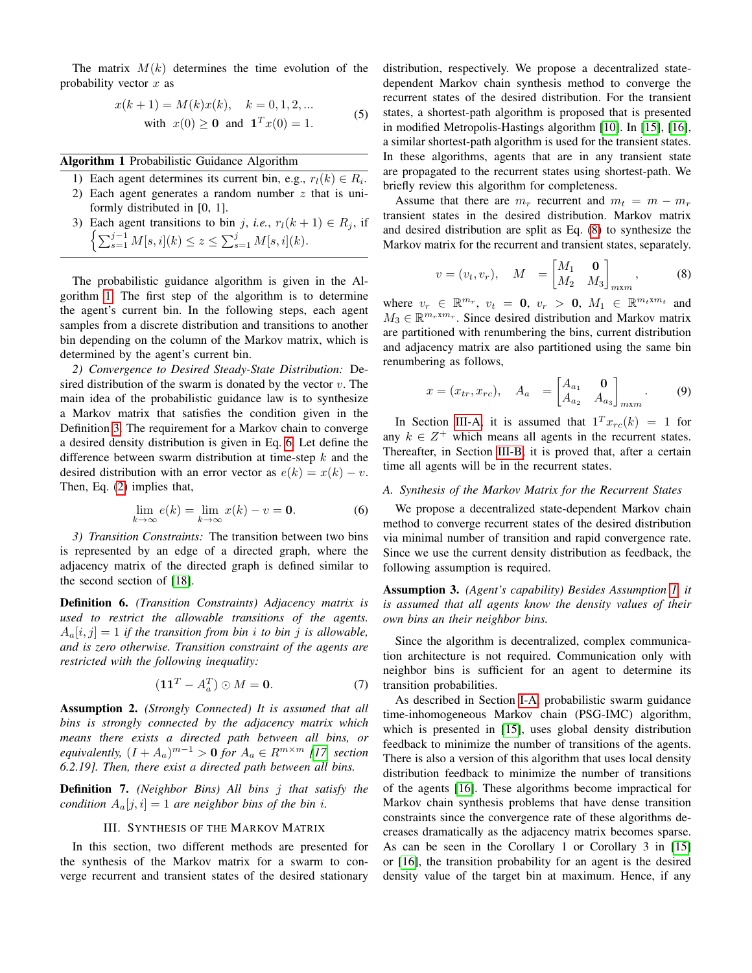The matrix  $M(k)$  determines the time evolution of the probability vector  $x$  as

$$
x(k+1) = M(k)x(k), \quad k = 0, 1, 2, ...
$$
  
with  $x(0) \ge 0$  and  $\mathbf{1}^T x(0) = 1$ . (5)

<span id="page-2-1"></span>Algorithm 1 Probabilistic Guidance Algorithm

- 1) Each agent determines its current bin, e.g.,  $r_l(k) \in R_i$ .
- 2) Each agent generates a random number z that is uniformly distributed in [0, 1].
- 3) Each agent transitions to bin j, *i.e.*,  $r_l(k + 1) \in R_j$ , if  $\left\{\sum_{s=1}^{j-1} M[s, i](k) \leq z \leq \sum_{s=1}^{j} M[s, i](k). \right.$

The probabilistic guidance algorithm is given in the Algorithm [1.](#page-2-1) The first step of the algorithm is to determine the agent's current bin. In the following steps, each agent samples from a discrete distribution and transitions to another bin depending on the column of the Markov matrix, which is determined by the agent's current bin.

<span id="page-2-5"></span>*2) Convergence to Desired Steady-State Distribution:* Desired distribution of the swarm is donated by the vector  $v$ . The main idea of the probabilistic guidance law is to synthesize a Markov matrix that satisfies the condition given in the Definition [3.](#page-1-1) The requirement for a Markov chain to converge a desired density distribution is given in Eq. [6.](#page-2-2) Let define the difference between swarm distribution at time-step  $k$  and the desired distribution with an error vector as  $e(k) = x(k) - v$ . Then, Eq. [\(2\)](#page-1-2) implies that,

$$
\lim_{k \to \infty} e(k) = \lim_{k \to \infty} x(k) - v = \mathbf{0}.
$$
 (6)

*3) Transition Constraints:* The transition between two bins is represented by an edge of a directed graph, where the adjacency matrix of the directed graph is defined similar to the second section of [\[18\]](#page-8-8).

Definition 6. *(Transition Constraints) Adjacency matrix is used to restrict the allowable transitions of the agents.*  $A_a[i, j] = 1$  *if the transition from bin i to bin j is allowable, and is zero otherwise. Transition constraint of the agents are restricted with the following inequality:*

$$
\left(\mathbf{1}\mathbf{1}^T - A_a^T\right) \odot M = \mathbf{0}.\tag{7}
$$

Assumption 2. *(Strongly Connected) It is assumed that all bins is strongly connected by the adjacency matrix which means there exists a directed path between all bins, or equivalently,*  $(I + A_a)^{m-1} > 0$  *for*  $A_a \in R^{m \times m}$  [\[17,](#page-8-7) *section 6.2.19]. Then, there exist a directed path between all bins.*

Definition 7. *(Neighbor Bins) All bins* j *that satisfy the condition*  $A_a[j, i] = 1$  *are neighbor bins of the bin i.* 

# III. SYNTHESIS OF THE MARKOV MATRIX

<span id="page-2-0"></span>In this section, two different methods are presented for the synthesis of the Markov matrix for a swarm to converge recurrent and transient states of the desired stationary distribution, respectively. We propose a decentralized statedependent Markov chain synthesis method to converge the recurrent states of the desired distribution. For the transient states, a shortest-path algorithm is proposed that is presented in modified Metropolis-Hastings algorithm [\[10\]](#page-8-0). In [\[15\]](#page-8-5), [\[16\]](#page-8-6), a similar shortest-path algorithm is used for the transient states. In these algorithms, agents that are in any transient state are propagated to the recurrent states using shortest-path. We briefly review this algorithm for completeness.

Assume that there are  $m_r$  recurrent and  $m_t = m - m_r$ transient states in the desired distribution. Markov matrix and desired distribution are split as Eq. [\(8\)](#page-2-3) to synthesize the Markov matrix for the recurrent and transient states, separately.

<span id="page-2-3"></span>
$$
v = (v_t, v_r), \quad M = \begin{bmatrix} M_1 & \mathbf{0} \\ M_2 & M_3 \end{bmatrix}_{m \times m}, \quad (8)
$$

where  $v_r \in \mathbb{R}^{m_r}$ ,  $v_t = 0$ ,  $v_r > 0$ ,  $M_1 \in \mathbb{R}^{m_t \times m_t}$  and  $M_3 \in \mathbb{R}^{m_r x m_r}$ . Since desired distribution and Markov matrix are partitioned with renumbering the bins, current distribution and adjacency matrix are also partitioned using the same bin renumbering as follows,

$$
x = (x_{tr}, x_{rc}), \quad A_a = \begin{bmatrix} A_{a_1} & \mathbf{0} \\ A_{a_2} & A_{a_3} \end{bmatrix}_{m \times m}.
$$
 (9)

In Section [III-A,](#page-2-4) it is assumed that  $1^T x_{rc}(k) = 1$  for any  $k \in \mathbb{Z}^+$  which means all agents in the recurrent states. Thereafter, in Section [III-B,](#page-6-2) it is proved that, after a certain time all agents will be in the recurrent states.

## <span id="page-2-4"></span><span id="page-2-2"></span>*A. Synthesis of the Markov Matrix for the Recurrent States*

We propose a decentralized state-dependent Markov chain method to converge recurrent states of the desired distribution via minimal number of transition and rapid convergence rate. Since we use the current density distribution as feedback, the following assumption is required.

Assumption 3. *(Agent's capability) Besides Assumption [1,](#page-1-3) it is assumed that all agents know the density values of their own bins an their neighbor bins.*

Since the algorithm is decentralized, complex communication architecture is not required. Communication only with neighbor bins is sufficient for an agent to determine its transition probabilities.

As described in Section [I-A,](#page-0-0) probabilistic swarm guidance time-inhomogeneous Markov chain (PSG-IMC) algorithm, which is presented in [\[15\]](#page-8-5), uses global density distribution feedback to minimize the number of transitions of the agents. There is also a version of this algorithm that uses local density distribution feedback to minimize the number of transitions of the agents [\[16\]](#page-8-6). These algorithms become impractical for Markov chain synthesis problems that have dense transition constraints since the convergence rate of these algorithms decreases dramatically as the adjacency matrix becomes sparse. As can be seen in the Corollary 1 or Corollary 3 in [\[15\]](#page-8-5) or [\[16\]](#page-8-6), the transition probability for an agent is the desired density value of the target bin at maximum. Hence, if any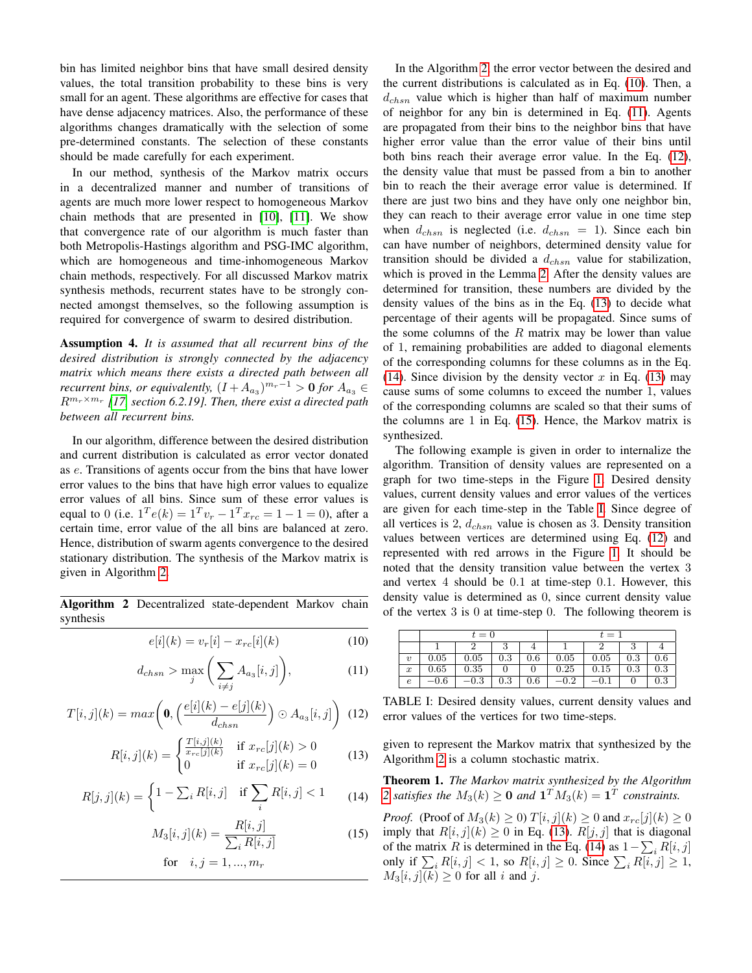bin has limited neighbor bins that have small desired density values, the total transition probability to these bins is very small for an agent. These algorithms are effective for cases that have dense adjacency matrices. Also, the performance of these algorithms changes dramatically with the selection of some pre-determined constants. The selection of these constants should be made carefully for each experiment.

In our method, synthesis of the Markov matrix occurs in a decentralized manner and number of transitions of agents are much more lower respect to homogeneous Markov chain methods that are presented in [\[10\]](#page-8-0), [\[11\]](#page-8-1). We show that convergence rate of our algorithm is much faster than both Metropolis-Hastings algorithm and PSG-IMC algorithm, which are homogeneous and time-inhomogeneous Markov chain methods, respectively. For all discussed Markov matrix synthesis methods, recurrent states have to be strongly connected amongst themselves, so the following assumption is required for convergence of swarm to desired distribution.

Assumption 4. *It is assumed that all recurrent bins of the desired distribution is strongly connected by the adjacency matrix which means there exists a directed path between all recurrent bins, or equivalently,*  $(I + A_{a_3})^{m_r-1} > 0$  for  $A_{a_3} \in$ Rmr×m<sup>r</sup> *[\[17,](#page-8-7) section 6.2.19]. Then, there exist a directed path between all recurrent bins.*

In our algorithm, difference between the desired distribution and current distribution is calculated as error vector donated as e. Transitions of agents occur from the bins that have lower error values to the bins that have high error values to equalize error values of all bins. Since sum of these error values is equal to 0 (i.e.  $1^T e(k) = 1^T v_r - 1^T x_{rc} = 1 - 1 = 0$ ), after a certain time, error value of the all bins are balanced at zero. Hence, distribution of swarm agents convergence to the desired stationary distribution. The synthesis of the Markov matrix is given in Algorithm [2.](#page-3-0)

<span id="page-3-0"></span>Algorithm 2 Decentralized state-dependent Markov chain synthesis

<span id="page-3-1"></span>
$$
e[i](k) = v_r[i] - x_{rc}[i](k)
$$
\n(10)

<span id="page-3-2"></span>
$$
d_{chsn} > \max_{j} \left( \sum_{i \neq j} A_{a_3}[i, j] \right), \tag{11}
$$

<span id="page-3-3"></span>
$$
T[i,j](k) = max\left(\mathbf{0}, \left(\frac{e[i](k) - e[j](k)}{d_{chsn}}\right) \odot A_{a_3}[i,j]\right)
$$
(12)

<span id="page-3-4"></span>
$$
R[i,j](k) = \begin{cases} \frac{T[i,j](k)}{x_{rc}[j](k)} & \text{if } x_{rc}[j](k) > 0\\ 0 & \text{if } x_{rc}[j](k) = 0 \end{cases}
$$
(13)

<span id="page-3-5"></span>
$$
R[j,j](k) = \begin{cases} 1 - \sum_{i} R[i,j] & \text{if } \sum_{i} R[i,j] < 1 \end{cases} \tag{14}
$$

<span id="page-3-6"></span>
$$
M_3[i,j](k) = \frac{R[i,j]}{\sum_i R[i,j]}
$$
 (15)

for 
$$
i, j = 1, ..., m_r
$$

In the Algorithm [2,](#page-3-0) the error vector between the desired and the current distributions is calculated as in Eq. [\(10\)](#page-3-1). Then, a  $d_{chsn}$  value which is higher than half of maximum number of neighbor for any bin is determined in Eq. [\(11\)](#page-3-2). Agents are propagated from their bins to the neighbor bins that have higher error value than the error value of their bins until both bins reach their average error value. In the Eq. [\(12\)](#page-3-3), the density value that must be passed from a bin to another bin to reach the their average error value is determined. If there are just two bins and they have only one neighbor bin, they can reach to their average error value in one time step when  $d_{chsn}$  is neglected (i.e.  $d_{chsn} = 1$ ). Since each bin can have number of neighbors, determined density value for transition should be divided a  $d_{chsn}$  value for stabilization, which is proved in the Lemma [2.](#page-4-0) After the density values are determined for transition, these numbers are divided by the density values of the bins as in the Eq. [\(13\)](#page-3-4) to decide what percentage of their agents will be propagated. Since sums of the some columns of the  $R$  matrix may be lower than value of 1, remaining probabilities are added to diagonal elements of the corresponding columns for these columns as in the Eq. [\(14\)](#page-3-5). Since division by the density vector x in Eq. [\(13\)](#page-3-4) may cause sums of some columns to exceed the number 1, values of the corresponding columns are scaled so that their sums of the columns are 1 in Eq. [\(15\)](#page-3-6). Hence, the Markov matrix is synthesized.

The following example is given in order to internalize the algorithm. Transition of density values are represented on a graph for two time-steps in the Figure [1.](#page-4-1) Desired density values, current density values and error values of the vertices are given for each time-step in the Table [I.](#page-3-7) Since degree of all vertices is 2,  $d_{chsn}$  value is chosen as 3. Density transition values between vertices are determined using Eq. [\(12\)](#page-3-3) and represented with red arrows in the Figure [1.](#page-4-1) It should be noted that the density transition value between the vertex 3 and vertex 4 should be 0.1 at time-step 0.1. However, this density value is determined as 0, since current density value of the vertex 3 is 0 at time-step 0. The following theorem is

<span id="page-3-7"></span>

|                  | $t=0$     |          |         |     | $t=1$  |               |     |     |
|------------------|-----------|----------|---------|-----|--------|---------------|-----|-----|
|                  |           |          |         |     |        |               |     |     |
| $\boldsymbol{v}$ | 0.05      | 0.05     | $0.3\,$ | 0.6 | 0.05   | 0.05          | 0.3 | 0.6 |
| $\boldsymbol{x}$ | 0.65      | 0.35     |         |     | 0.25   | 0.15          | 0.3 | 0.3 |
| е                | $^{-0.6}$ | $-0.3\,$ | 0.3     | 0.6 | $-0.2$ | $^{\rm -0.1}$ |     | 0.3 |

TABLE I: Desired density values, current density values and error values of the vertices for two time-steps.

given to represent the Markov matrix that synthesized by the Algorithm [2](#page-3-0) is a column stochastic matrix.

Theorem 1. *The Markov matrix synthesized by the Algorithm* [2](#page-3-0) satisfies the  $M_3(k) \ge 0$  and  $\mathbf{1}^T M_3(k) = \mathbf{1}^T$  constraints.

*Proof.* (Proof of  $M_3(k) \geq 0$ )  $T[i, j](k) \geq 0$  and  $x_{rc}[j](k) \geq 0$ imply that  $R[i, j](k) \ge 0$  in Eq. [\(13\)](#page-3-4).  $R[j, j]$  that is diagonal of the matrix R is determined in the Eq. [\(14\)](#page-3-5) as  $1 - \sum_i R[i, j]$ only if  $\sum_i R[i, j] < 1$ , so  $R[i, j] \ge 0$ . Since  $\sum_i R[i, j] \ge 1$ ,  $M_3[i, j](k) \geq 0$  for all i and j.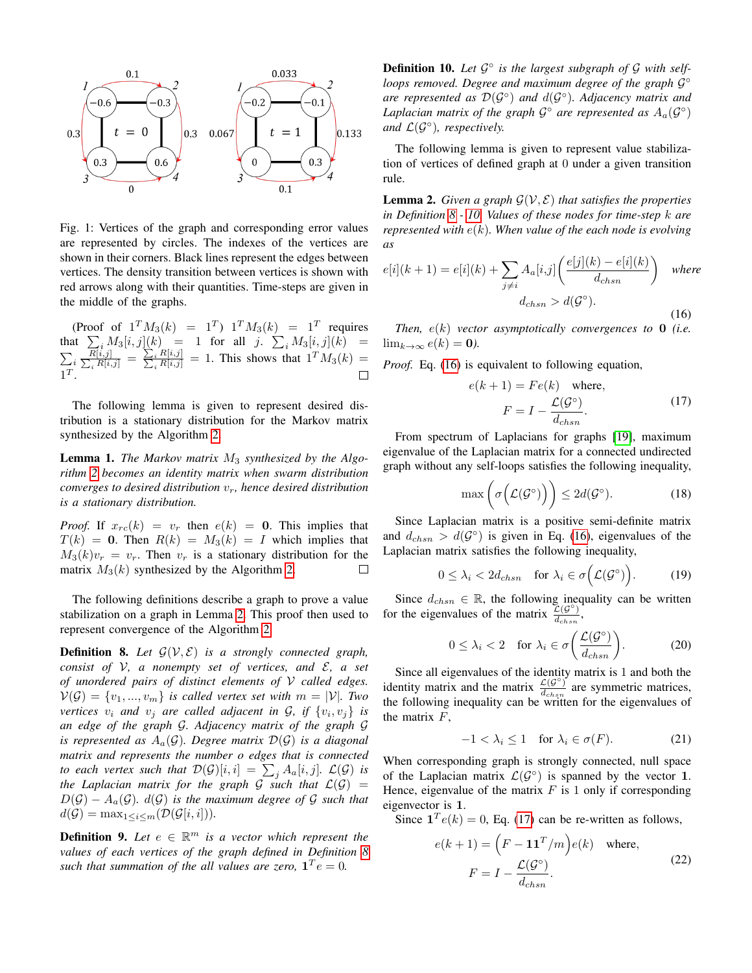<span id="page-4-1"></span>

Fig. 1: Vertices of the graph and corresponding error values are represented by circles. The indexes of the vertices are shown in their corners. Black lines represent the edges between vertices. The density transition between vertices is shown with red arrows along with their quantities. Time-steps are given in the middle of the graphs.

(Proof of  $1^T M_3(k) = 1^T 1^T M_3(k) = 1^T 1^T$  requires that  $\sum_{i} M_3[i, j](k) = 1$  for all j.  $\sum_{i} M_3[i, j](k) =$  $\sum_{i} \frac{\overline{R[i,j]}}{\sum_{i} R[i,j]} = \frac{\sum_{i} R[i,j]}{\sum_{i} R[i,j]} = 1$ . This shows that  $1^T M_3(k) =$  $1^T$ .

The following lemma is given to represent desired distribution is a stationary distribution for the Markov matrix synthesized by the Algorithm [2.](#page-3-0)

Lemma 1. *The Markov matrix*  $M_3$  *synthesized by the Algorithm [2](#page-3-0) becomes an identity matrix when swarm distribution converges to desired distribution*  $v_r$ , hence desired distribution *is a stationary distribution.*

*Proof.* If  $x_{rc}(k) = v_r$  then  $e(k) = 0$ . This implies that  $T(k) = 0$ . Then  $R(k) = M_3(k) = I$  which implies that  $M_3(k)v_r = v_r$ . Then  $v_r$  is a stationary distribution for the matrix  $M_3(k)$  synthesized by the Algorithm [2.](#page-3-0)  $\Box$ 

The following definitions describe a graph to prove a value stabilization on a graph in Lemma [2.](#page-4-0) This proof then used to represent convergence of the Algorithm [2.](#page-3-0)

<span id="page-4-2"></span>**Definition 8.** Let  $\mathcal{G}(\mathcal{V}, \mathcal{E})$  *is a strongly connected graph, consist of* V*, a nonempty set of vertices, and* E*, a set of unordered pairs of distinct elements of* V *called edges.*  $V(G) = \{v_1, ..., v_m\}$  *is called vertex set with*  $m = |V|$ *. Two vertices*  $v_i$  *and*  $v_j$  *are called adjacent in G, if*  $\{v_i, v_j\}$  *is an edge of the graph* G*. Adjacency matrix of the graph* G *is represented as*  $A_a(\mathcal{G})$ *. Degree matrix*  $\mathcal{D}(\mathcal{G})$  *is a diagonal matrix and represents the number o edges that is connected to each vertex such that*  $\mathcal{D}(\mathcal{G})[i,i] \ = \ \sum_{j} A_a[i,j].$   $\mathcal{L}(\mathcal{G})$  is *the Laplacian matrix for the graph G such that*  $\mathcal{L}(\mathcal{G}) =$  $D(\mathcal{G}) - A_a(\mathcal{G})$ *.*  $d(\mathcal{G})$  *is the maximum degree of*  $\mathcal G$  *such that*  $d(G) = \max_{1 \leq i \leq m} (\mathcal{D}(\mathcal{G}[i, i])).$ 

<span id="page-4-7"></span>**Definition 9.** Let  $e \in \mathbb{R}^m$  is a vector which represent the *values of each vertices of the graph defined in Definition [8](#page-4-2)* such that summation of the all values are zero,  $\mathbf{1}^T e = 0$ .

<span id="page-4-3"></span>Definition 10. Let  $\mathcal{G}^{\circ}$  is the largest subgraph of  $\mathcal G$  with selfloops removed. Degree and maximum degree of the graph  $\mathcal{G}^{\circ}$ are represented as  $\mathcal{D}(\mathcal{G}^{\circ})$  and  $d(\mathcal{G}^{\circ})$ . Adjacency matrix and Laplacian matrix of the graph  $\mathcal{G}^{\circ}$  are represented as  $A_{a}(\mathcal{G}^{\circ})$ and  $\mathcal{L}(\mathcal{G}^{\circ})$ , respectively.

The following lemma is given to represent value stabilization of vertices of defined graph at 0 under a given transition rule.

<span id="page-4-0"></span>**Lemma 2.** *Given a graph*  $\mathcal{G}(\mathcal{V}, \mathcal{E})$  *that satisfies the properties in Definition [8](#page-4-2) - [10.](#page-4-3) Values of these nodes for time-step* k *are represented with* e(k)*. When value of the each node is evolving as*

<span id="page-4-4"></span>
$$
e[i](k+1) = e[i](k) + \sum_{j \neq i} A_a[i,j] \left( \frac{e[j](k) - e[i](k)}{d_{chsn}} \right) \quad \text{where}
$$

$$
d_{chsn} > d(\mathcal{G}^{\circ}). \tag{16}
$$

*Then,* e(k) *vector asymptotically convergences to* 0 *(i.e.*  $\lim_{k\to\infty}e(k)=0.$ 

*Proof.* Eq. [\(16\)](#page-4-4) is equivalent to following equation,

<span id="page-4-5"></span>
$$
e(k+1) = Fe(k) \text{ where,}
$$

$$
F = I - \frac{\mathcal{L}(\mathcal{G}^{\circ})}{d_{chsn}}.
$$
(17)

From spectrum of Laplacians for graphs [\[19\]](#page-8-9), maximum eigenvalue of the Laplacian matrix for a connected undirected graph without any self-loops satisfies the following inequality,

$$
\max\left(\sigma\left(\mathcal{L}(\mathcal{G}^{\circ})\right)\right) \leq 2d(\mathcal{G}^{\circ}).\tag{18}
$$

Since Laplacian matrix is a positive semi-definite matrix and  $d_{chsn} > d(G^{\circ})$  is given in Eq. [\(16\)](#page-4-4), eigenvalues of the Laplacian matrix satisfies the following inequality,

$$
0 \leq \lambda_i < 2d_{chsn} \quad \text{for } \lambda_i \in \sigma\Big(\mathcal{L}(\mathcal{G}^\circ)\Big). \tag{19}
$$

Since  $d_{chsn} \in \mathbb{R}$ , the following inequality can be written for the eigenvalues of the matrix  $\frac{\mathcal{L}(\mathcal{G}^{\circ})}{d}$  $\frac{\mathcal{L}(\mathcal{Y})}{d_{chsn}},$ 

$$
0 \leq \lambda_i < 2 \quad \text{for } \lambda_i \in \sigma\left(\frac{\mathcal{L}(\mathcal{G}^\circ)}{d_{chsn}}\right). \tag{20}
$$

Since all eigenvalues of the identity matrix is 1 and both the identity matrix and the matrix  $\frac{\mathcal{L}(\mathcal{G}^{\circ})}{d}$  $\frac{\mathcal{L}(\mathcal{G})}{d_{chsn}}$  are symmetric matrices, the following inequality can be written for the eigenvalues of the matrix  $F$ ,

$$
-1 < \lambda_i \le 1 \quad \text{for } \lambda_i \in \sigma(F). \tag{21}
$$

When corresponding graph is strongly connected, null space of the Laplacian matrix  $\mathcal{L}(\mathcal{G}^{\circ})$  is spanned by the vector 1. Hence, eigenvalue of the matrix  $F$  is 1 only if corresponding eigenvector is 1.

Since  $\mathbf{1}^T e(k) = 0$ , Eq. [\(17\)](#page-4-5) can be re-written as follows,

<span id="page-4-6"></span>
$$
e(k+1) = \left(F - \mathbf{1}\mathbf{1}^T/m\right)e(k) \quad \text{where,}
$$

$$
F = I - \frac{\mathcal{L}(\mathcal{G}^{\circ})}{d_{chsn}}.
$$
(22)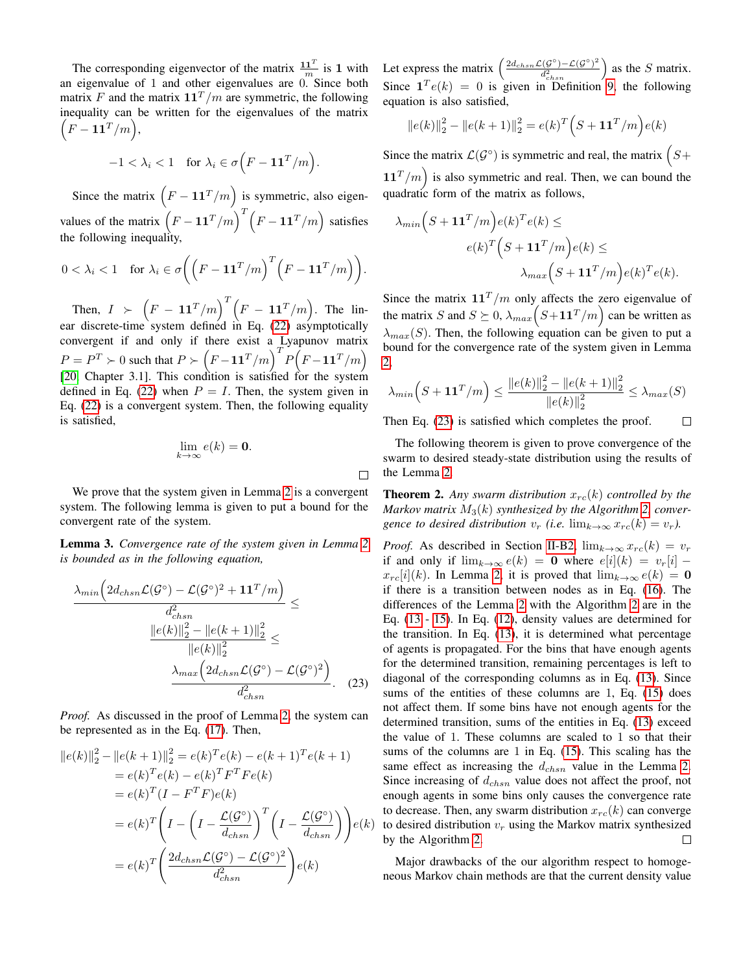The corresponding eigenvector of the matrix  $\frac{11^T}{m}$  is 1 with an eigenvalue of 1 and other eigenvalues are 0. Since both matrix F and the matrix  $11<sup>T</sup>/m$  are symmetric, the following inequality can be written for the eigenvalues of the matrix  $\overline{F} - \mathbf{1}\mathbf{1}^T/m$ ),

$$
-1 < \lambda_i < 1 \quad \text{for } \lambda_i \in \sigma \Big( F - \mathbf{1} \mathbf{1}^T / m \Big).
$$

Since the matrix  $(F - 11^T/m)$  is symmetric, also eigenvalues of the matrix  $(F - 11^T/m)^T (F - 11^T/m)$  satisfies the following inequality,

$$
0 < \lambda_i < 1 \quad \text{for } \lambda_i \in \sigma \bigg( \Big( F - \mathbf{1} \mathbf{1}^T / m \Big)^T \Big( F - \mathbf{1} \mathbf{1}^T / m \Big) \bigg).
$$

Then,  $I \succ \left( F - \mathbf{1} \mathbf{1}^T/m \right)^T \left( F - \mathbf{1} \mathbf{1}^T/m \right)$ . The lin-ear discrete-time system defined in Eq. [\(22\)](#page-4-6) asymptotically convergent if and only if there exist a Lyapunov matrix  $P = P^T \succ 0$  such that  $P \succ (F - 11^T/m)^T P (F - 11^T/m)$ [\[20,](#page-8-10) Chapter 3.1]. This condition is satisfied for the system defined in Eq. [\(22\)](#page-4-6) when  $P = I$ . Then, the system given in Eq. [\(22\)](#page-4-6) is a convergent system. Then, the following equality is satisfied,

$$
\lim_{k\to\infty}e(k)=\mathbf{0}.
$$

 $\Box$ 

We prove that the system given in Lemma [2](#page-4-0) is a convergent system. The following lemma is given to put a bound for the convergent rate of the system.

Lemma 3. *Convergence rate of the system given in Lemma [2](#page-4-0) is bounded as in the following equation,*

$$
\frac{\lambda_{min}\left(2d_{chsn}\mathcal{L}(\mathcal{G}^{\circ}) - \mathcal{L}(\mathcal{G}^{\circ})^2 + \mathbf{1}\mathbf{1}^T/m\right)}{d_{chsn}^2} \le
$$
\n
$$
\frac{\|e(k)\|_2^2 - \|e(k+1)\|_2^2}{\|e(k)\|_2^2} \le
$$
\n
$$
\frac{\lambda_{max}\left(2d_{chsn}\mathcal{L}(\mathcal{G}^{\circ}) - \mathcal{L}(\mathcal{G}^{\circ})^2\right)}{d_{chsn}^2}.
$$
\n(23)

*Proof.* As discussed in the proof of Lemma [2,](#page-4-0) the system can be represented as in the Eq. [\(17\)](#page-4-5). Then,

$$
||e(k)||_2^2 - ||e(k+1)||_2^2 = e(k)^T e(k) - e(k+1)^T e(k+1)
$$
  
\n
$$
= e(k)^T e(k) - e(k)^T F^T F e(k)
$$
  
\n
$$
= e(k)^T (I - F^T F) e(k)
$$
  
\n
$$
= e(k)^T \left(I - \left(I - \frac{\mathcal{L}(\mathcal{G}^{\circ})}{d_{\text{chsn}}}\right)^T \left(I - \frac{\mathcal{L}(\mathcal{G}^{\circ})}{d_{\text{chsn}}}\right)\right) e(k)
$$
  
\n
$$
= e(k)^T \left(\frac{2d_{\text{chsn}} \mathcal{L}(\mathcal{G}^{\circ}) - \mathcal{L}(\mathcal{G}^{\circ})^2}{d_{\text{chsn}}^2}\right) e(k)
$$

Let express the matrix  $\left(\frac{2d_{chsn}\mathcal{L}(G^{\circ})-\mathcal{L}(G^{\circ})^2}{d^2}\right)$  $\frac{\mathcal{L}(\mathcal{G}^{\circ}) - \mathcal{L}(\mathcal{G}^{\circ})^2}{d_{chsn}^2}$  as the S matrix. Since  $\mathbf{1}^T e(k) = 0$  is given in Definition [9,](#page-4-7) the following equation is also satisfied,

$$
||e(k)||_2^2 - ||e(k+1)||_2^2 = e(k)^T \left(S + \mathbf{1}\mathbf{1}^T/m\right) e(k)
$$

Since the matrix  $\mathcal{L}(\mathcal{G}^{\circ})$  is symmetric and real, the matrix  $\left(S + \right)$  $11<sup>T</sup>/m$ ) is also symmetric and real. Then, we can bound the quadratic form of the matrix as follows,

$$
\lambda_{min}\left(S + \mathbf{1}\mathbf{1}^T/m\right)e(k)^Te(k) \le
$$
  

$$
e(k)^T\left(S + \mathbf{1}\mathbf{1}^T/m\right)e(k) \le
$$
  

$$
\lambda_{max}\left(S + \mathbf{1}\mathbf{1}^T/m\right)e(k)^Te(k).
$$

Since the matrix  $11<sup>T</sup>/m$  only affects the zero eigenvalue of the matrix S and  $S \succeq 0$ ,  $\lambda_{max}(S+11^{T}/m)$  can be written as  $\lambda_{max}(S)$ . Then, the following equation can be given to put a bound for the convergence rate of the system given in Lemma [2,](#page-4-0)

$$
\lambda_{min}\left(S + \mathbf{1}\mathbf{1}^T/m\right) \le \frac{\|e(k)\|_2^2 - \|e(k+1)\|_2^2}{\|e(k)\|_2^2} \le \lambda_{max}(S)
$$

Then Eq. [\(23\)](#page-5-0) is satisfied which completes the proof.  $\Box$ 

The following theorem is given to prove convergence of the swarm to desired steady-state distribution using the results of the Lemma [2.](#page-4-0)

**Theorem 2.** Any swarm distribution  $x_{rc}(k)$  controlled by the *Markov matrix*  $M_3(k)$  *synthesized by the Algorithm [2,](#page-3-0) convergence to desired distribution*  $v_r$  *(i.e.* lim $_{k\to\infty} x_{rc}(k) = v_r$ *).* 

<span id="page-5-0"></span>*Proof.* As described in Section [II-B2,](#page-2-5)  $\lim_{k\to\infty} x_{rc}(k) = v_r$ if and only if  $\lim_{k\to\infty}e(k) = 0$  where  $e[i](k) = v_r[i]$  $x_{rc}[i](k)$ . In Lemma [2,](#page-4-0) it is proved that  $\lim_{k\to\infty} e(k) = 0$ if there is a transition between nodes as in Eq. [\(16\)](#page-4-4). The differences of the Lemma [2](#page-4-0) with the Algorithm [2](#page-3-0) are in the Eq. [\(13](#page-3-4) - [15\)](#page-3-6). In Eq. [\(12\)](#page-3-3), density values are determined for the transition. In Eq. [\(13\)](#page-3-4), it is determined what percentage of agents is propagated. For the bins that have enough agents for the determined transition, remaining percentages is left to diagonal of the corresponding columns as in Eq. [\(13\)](#page-3-4). Since sums of the entities of these columns are 1, Eq. [\(15\)](#page-3-6) does not affect them. If some bins have not enough agents for the determined transition, sums of the entities in Eq. [\(13\)](#page-3-4) exceed the value of 1. These columns are scaled to 1 so that their sums of the columns are 1 in Eq. [\(15\)](#page-3-6). This scaling has the same effect as increasing the  $d_{chsn}$  value in the Lemma [2.](#page-4-0) Since increasing of  $d_{chsn}$  value does not affect the proof, not enough agents in some bins only causes the convergence rate to decrease. Then, any swarm distribution  $x_{rc}(k)$  can converge  $e(k)$  to desired distribution  $v_r$  using the Markov matrix synthesized by the Algorithm [2.](#page-3-0)  $\Box$ 

Major drawbacks of the our algorithm respect to homogeneous Markov chain methods are that the current density value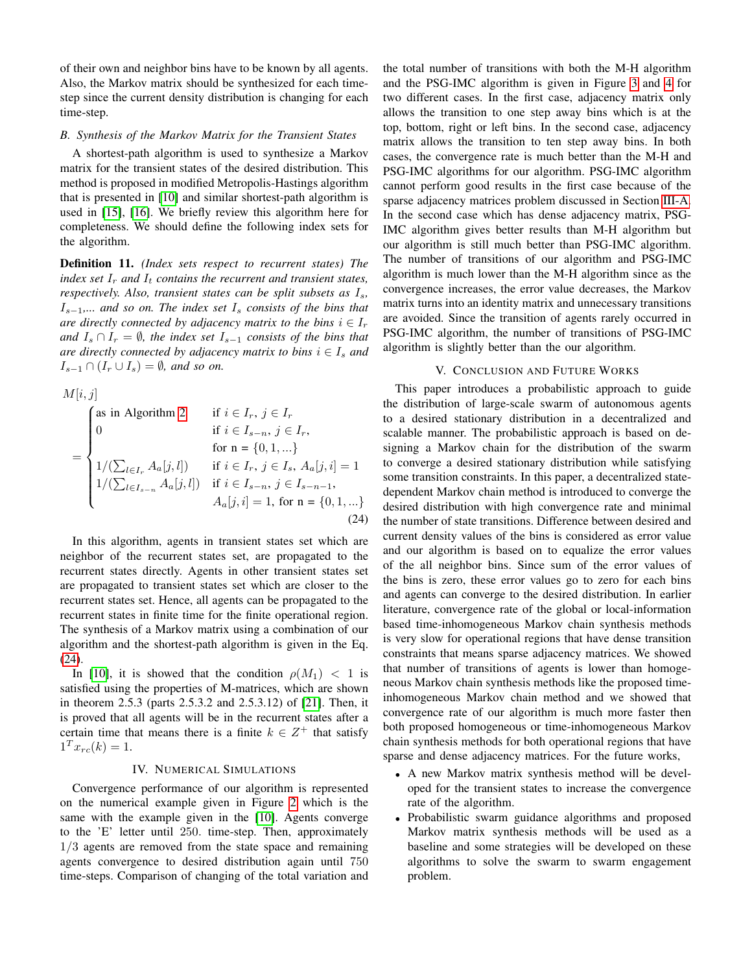of their own and neighbor bins have to be known by all agents. Also, the Markov matrix should be synthesized for each timestep since the current density distribution is changing for each time-step.

## <span id="page-6-2"></span>*B. Synthesis of the Markov Matrix for the Transient States*

A shortest-path algorithm is used to synthesize a Markov matrix for the transient states of the desired distribution. This method is proposed in modified Metropolis-Hastings algorithm that is presented in [\[10\]](#page-8-0) and similar shortest-path algorithm is used in [\[15\]](#page-8-5), [\[16\]](#page-8-6). We briefly review this algorithm here for completeness. We should define the following index sets for the algorithm.

<span id="page-6-3"></span>Definition 11. *(Index sets respect to recurrent states) The index set*  $I_r$  *and*  $I_t$  *contains the recurrent and transient states, respectively. Also, transient states can be split subsets as*  $I_s$ , Is−1*,... and so on. The index set* I<sup>s</sup> *consists of the bins that are directly connected by adjacency matrix to the bins*  $i \in I_r$ *and*  $I_s \cap I_r = \emptyset$ *, the index set*  $I_{s-1}$  *consists of the bins that are directly connected by adjacency matrix to bins*  $i \in I_s$  *and*  $I_{s-1} \cap (I_r \cup I_s) = \emptyset$ , and so on.

 $M[i, j]$ 

$$
= \begin{cases}\n\text{as in Algorithm 2} & \text{if } i \in I_r, \ j \in I_r \\
0 & \text{if } i \in I_{s-n}, \ j \in I_r, \\
& \text{for } n = \{0, 1, \ldots\} \\
1/(\sum_{l \in I_r} A_a[j, l]) & \text{if } i \in I_r, \ j \in I_s, \ A_a[j, i] = 1 \\
1/(\sum_{l \in I_{s-n}} A_a[j, l]) & \text{if } i \in I_{s-n}, \ j \in I_{s-n-1}, \\
A_a[j, i] = 1, \text{ for } n = \{0, 1, \ldots\}\n\end{cases}
$$
\n(24)

In this algorithm, agents in transient states set which are neighbor of the recurrent states set, are propagated to the recurrent states directly. Agents in other transient states set are propagated to transient states set which are closer to the recurrent states set. Hence, all agents can be propagated to the recurrent states in finite time for the finite operational region. The synthesis of a Markov matrix using a combination of our algorithm and the shortest-path algorithm is given in the Eq. [\(24\)](#page-6-3).

In [\[10\]](#page-8-0), it is showed that the condition  $\rho(M_1) < 1$  is satisfied using the properties of M-matrices, which are shown in theorem 2.5.3 (parts 2.5.3.2 and 2.5.3.12) of [\[21\]](#page-8-11). Then, it is proved that all agents will be in the recurrent states after a certain time that means there is a finite  $k \in \mathbb{Z}^+$  that satisfy  $1^T x_{rc}(k) = 1.$ 

# IV. NUMERICAL SIMULATIONS

<span id="page-6-0"></span>Convergence performance of our algorithm is represented on the numerical example given in Figure [2](#page-7-5) which is the same with the example given in the [\[10\]](#page-8-0). Agents converge to the 'E' letter until 250. time-step. Then, approximately 1/3 agents are removed from the state space and remaining agents convergence to desired distribution again until 750 time-steps. Comparison of changing of the total variation and the total number of transitions with both the M-H algorithm and the PSG-IMC algorithm is given in Figure [3](#page-7-6) and [4](#page-7-7) for two different cases. In the first case, adjacency matrix only allows the transition to one step away bins which is at the top, bottom, right or left bins. In the second case, adjacency matrix allows the transition to ten step away bins. In both cases, the convergence rate is much better than the M-H and PSG-IMC algorithms for our algorithm. PSG-IMC algorithm cannot perform good results in the first case because of the sparse adjacency matrices problem discussed in Section [III-A.](#page-2-4) In the second case which has dense adjacency matrix, PSG-IMC algorithm gives better results than M-H algorithm but our algorithm is still much better than PSG-IMC algorithm. The number of transitions of our algorithm and PSG-IMC algorithm is much lower than the M-H algorithm since as the convergence increases, the error value decreases, the Markov matrix turns into an identity matrix and unnecessary transitions are avoided. Since the transition of agents rarely occurred in PSG-IMC algorithm, the number of transitions of PSG-IMC algorithm is slightly better than the our algorithm.

## V. CONCLUSION AND FUTURE WORKS

<span id="page-6-1"></span>This paper introduces a probabilistic approach to guide the distribution of large-scale swarm of autonomous agents to a desired stationary distribution in a decentralized and scalable manner. The probabilistic approach is based on designing a Markov chain for the distribution of the swarm to converge a desired stationary distribution while satisfying some transition constraints. In this paper, a decentralized statedependent Markov chain method is introduced to converge the desired distribution with high convergence rate and minimal the number of state transitions. Difference between desired and current density values of the bins is considered as error value and our algorithm is based on to equalize the error values of the all neighbor bins. Since sum of the error values of the bins is zero, these error values go to zero for each bins and agents can converge to the desired distribution. In earlier literature, convergence rate of the global or local-information based time-inhomogeneous Markov chain synthesis methods is very slow for operational regions that have dense transition constraints that means sparse adjacency matrices. We showed that number of transitions of agents is lower than homogeneous Markov chain synthesis methods like the proposed timeinhomogeneous Markov chain method and we showed that convergence rate of our algorithm is much more faster then both proposed homogeneous or time-inhomogeneous Markov chain synthesis methods for both operational regions that have sparse and dense adjacency matrices. For the future works,

- A new Markov matrix synthesis method will be developed for the transient states to increase the convergence rate of the algorithm.
- Probabilistic swarm guidance algorithms and proposed Markov matrix synthesis methods will be used as a baseline and some strategies will be developed on these algorithms to solve the swarm to swarm engagement problem.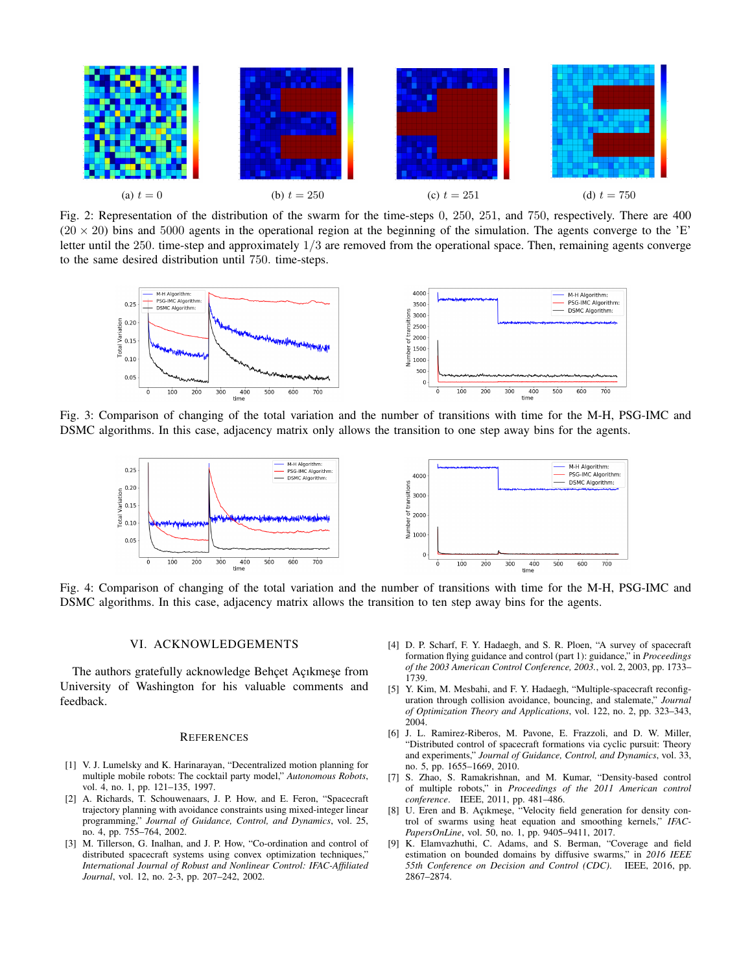<span id="page-7-5"></span>

Fig. 2: Representation of the distribution of the swarm for the time-steps 0, 250, 251, and 750, respectively. There are 400  $(20 \times 20)$  bins and 5000 agents in the operational region at the beginning of the simulation. The agents converge to the 'E' letter until the 250, time-step and approximately  $1/3$  are removed from the operational space. Then, remaining agents converge to the same desired distribution until 750. time-steps.

<span id="page-7-6"></span>

<span id="page-7-7"></span>Fig. 3: Comparison of changing of the total variation and the number of transitions with time for the M-H, PSG-IMC and DSMC algorithms. In this case, adjacency matrix only allows the transition to one step away bins for the agents.



Fig. 4: Comparison of changing of the total variation and the number of transitions with time for the M-H, PSG-IMC and DSMC algorithms. In this case, adjacency matrix allows the transition to ten step away bins for the agents.

## VI. ACKNOWLEDGEMENTS

The authors gratefully acknowledge Behçet Açıkmeşe from University of Washington for his valuable comments and feedback.

## **REFERENCES**

- <span id="page-7-0"></span>[1] V. J. Lumelsky and K. Harinarayan, "Decentralized motion planning for multiple mobile robots: The cocktail party model," *Autonomous Robots*, vol. 4, no. 1, pp. 121–135, 1997.
- [2] A. Richards, T. Schouwenaars, J. P. How, and E. Feron, "Spacecraft trajectory planning with avoidance constraints using mixed-integer linear programming," *Journal of Guidance, Control, and Dynamics*, vol. 25, no. 4, pp. 755–764, 2002.
- [3] M. Tillerson, G. Inalhan, and J. P. How, "Co-ordination and control of distributed spacecraft systems using convex optimization techniques," *International Journal of Robust and Nonlinear Control: IFAC-Affiliated Journal*, vol. 12, no. 2-3, pp. 207–242, 2002.
- [4] D. P. Scharf, F. Y. Hadaegh, and S. R. Ploen, "A survey of spacecraft formation flying guidance and control (part 1): guidance," in *Proceedings of the 2003 American Control Conference, 2003.*, vol. 2, 2003, pp. 1733– 1739.
- [5] Y. Kim, M. Mesbahi, and F. Y. Hadaegh, "Multiple-spacecraft reconfiguration through collision avoidance, bouncing, and stalemate," *Journal of Optimization Theory and Applications*, vol. 122, no. 2, pp. 323–343, 2004.
- <span id="page-7-1"></span>[6] J. L. Ramirez-Riberos, M. Pavone, E. Frazzoli, and D. W. Miller, "Distributed control of spacecraft formations via cyclic pursuit: Theory and experiments," *Journal of Guidance, Control, and Dynamics*, vol. 33, no. 5, pp. 1655–1669, 2010.
- <span id="page-7-2"></span>[7] S. Zhao, S. Ramakrishnan, and M. Kumar, "Density-based control of multiple robots," in *Proceedings of the 2011 American control conference*. IEEE, 2011, pp. 481–486.
- <span id="page-7-3"></span>[8] U. Eren and B. Açıkmeşe, "Velocity field generation for density control of swarms using heat equation and smoothing kernels," *IFAC-PapersOnLine*, vol. 50, no. 1, pp. 9405–9411, 2017.
- <span id="page-7-4"></span>[9] K. Elamvazhuthi, C. Adams, and S. Berman, "Coverage and field estimation on bounded domains by diffusive swarms," in *2016 IEEE 55th Conference on Decision and Control (CDC)*. IEEE, 2016, pp. 2867–2874.